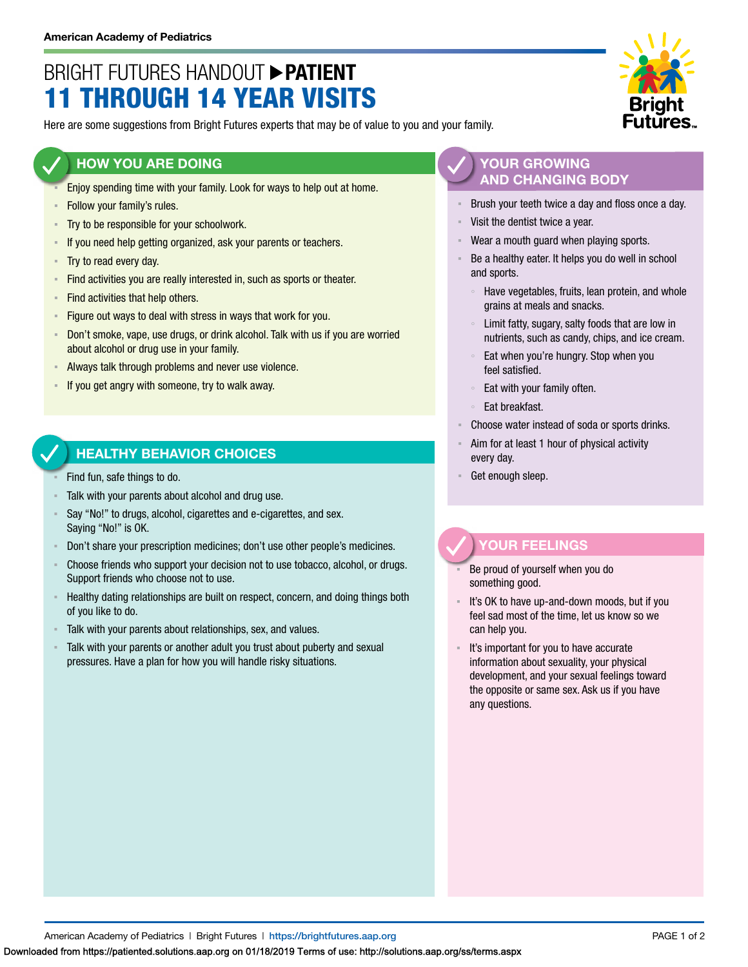# BRIGHT FUTURES HANDOUT **PATIENT** 11 THROUGH 14 YEAR VISITS

Here are some suggestions from Bright Futures experts that may be of value to you and your family.

#### **HOW YOU ARE DOING**

- Enjoy spending time with your family. Look for ways to help out at home.
- **EXECUTE:** Follow your family's rules.
- **Try to be responsible for your schoolwork.**
- **EXEDED** 15 If you need help getting organized, ask your parents or teachers.
- Try to read every day.
- **EXECT** Find activities you are really interested in, such as sports or theater.
- **Find activities that help others.**
- **Eigure out ways to deal with stress in ways that work for you.**
- **Don't smoke, vape, use drugs, or drink alcohol. Talk with us if you are worried** about alcohol or drug use in your family.
- Always talk through problems and never use violence.
- If you get angry with someone, try to walk away.

## **HEALTHY BEHAVIOR CHOICES**

- Find fun, safe things to do.
- Talk with your parents about alcohol and drug use.
- Say "No!" to drugs, alcohol, cigarettes and e-cigarettes, and sex. Saying "No!" is OK.
- Don't share your prescription medicines; don't use other people's medicines.
- Choose friends who support your decision not to use tobacco, alcohol, or drugs. Support friends who choose not to use.
- Healthy dating relationships are built on respect, concern, and doing things both of you like to do.
- Talk with your parents about relationships, sex, and values.
- Talk with your parents or another adult you trust about puberty and sexual pressures. Have a plan for how you will handle risky situations.

### **YOUR GROWING AND CHANGING BODY**

- Brush your teeth twice a day and floss once a day.
- Visit the dentist twice a year.
- Wear a mouth guard when playing sports.
- Be a healthy eater. It helps you do well in school and sports.
	- Have vegetables, fruits, lean protein, and whole grains at meals and snacks.
	- Limit fatty, sugary, salty foods that are low in nutrients, such as candy, chips, and ice cream.
	- Eat when you're hungry. Stop when you feel satisfied.
	- Eat with your family often.
	- Eat breakfast.
- Choose water instead of soda or sports drinks.
- Aim for at least 1 hour of physical activity every day.
- Get enough sleep.

## **YOUR FEELINGS**

- Be proud of yourself when you do something good.
- It's OK to have up-and-down moods, but if you feel sad most of the time, let us know so we can help you.
- It's important for you to have accurate information about sexuality, your physical development, and your sexual feelings toward the opposite or same sex. Ask us if you have any questions.